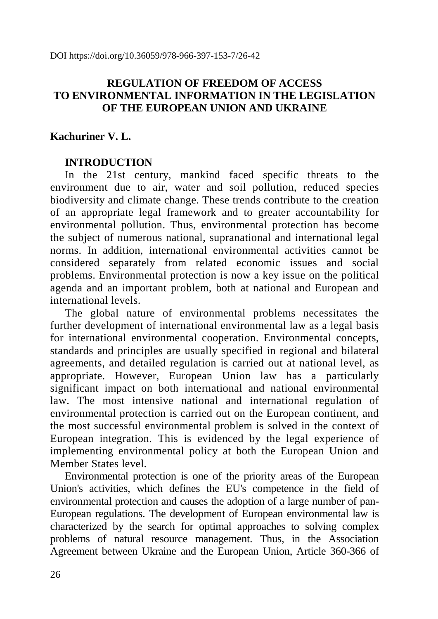DOI https://doi.org/10.36059/978-966-397-153-7/26-42

## **REGULATION OF FREEDOM OF ACCESS TO ENVIRONMENTAL INFORMATION IN THE LEGISLATION OF THE EUROPEAN UNION AND UKRAINE**

## **Kachuriner V. L.**

## **INTRODUCTION**

In the 21st century, mankind faced specific threats to the environment due to air, water and soil pollution, reduced species biodiversity and climate change. These trends contribute to the creation of an appropriate legal framework and to greater accountability for environmental pollution. Thus, environmental protection has become the subject of numerous national, supranational and international legal norms. In addition, international environmental activities cannot be considered separately from related economic issues and social problems. Environmental protection is now a key issue on the political agenda and an important problem, both at national and European and international levels.

The global nature of environmental problems necessitates the further development of international environmental law as a legal basis for international environmental cooperation. Environmental concepts, standards and principles are usually specified in regional and bilateral agreements, and detailed regulation is carried out at national level, as appropriate. However, European Union law has a particularly significant impact on both international and national environmental law. The most intensive national and international regulation of environmental protection is carried out on the European continent, and the most successful environmental problem is solved in the context of European integration. This is evidenced by the legal experience of implementing environmental policy at both the European Union and Member States level.

Environmental protection is one of the priority areas of the European Union's activities, which defines the EU's competence in the field of environmental protection and causes the adoption of a large number of pan-European regulations. The development of European environmental law is characterized by the search for optimal approaches to solving complex problems of natural resource management. Thus, in the Association Agreement between Ukraine and the European Union, Article 360-366 of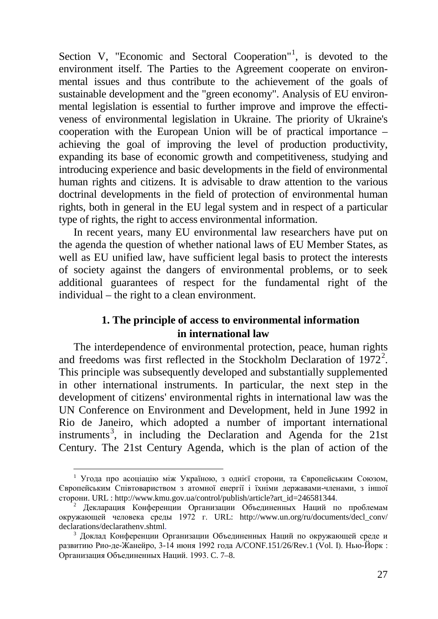Section V, "Economic and Sectoral Cooperation"<sup>[1](#page-1-0)</sup>, is devoted to the environment itself. The Parties to the Agreement cooperate on environmental issues and thus contribute to the achievement of the goals of sustainable development and the "green economy". Analysis of EU environmental legislation is essential to further improve and improve the effectiveness of environmental legislation in Ukraine. The priority of Ukraine's cooperation with the European Union will be of practical importance – achieving the goal of improving the level of production productivity, expanding its base of economic growth and competitiveness, studying and introducing experience and basic developments in the field of environmental human rights and citizens. It is advisable to draw attention to the various doctrinal developments in the field of protection of environmental human rights, both in general in the EU legal system and in respect of a particular type of rights, the right to access environmental information.

In recent years, many EU environmental law researchers have put on the agenda the question of whether national laws of EU Member States, as well as EU unified law, have sufficient legal basis to protect the interests of society against the dangers of environmental problems, or to seek additional guarantees of respect for the fundamental right of the individual – the right to a clean environment.

# **1. The principle of access to environmental information in international law**

The interdependence of environmental protection, peace, human rights and freedoms was first reflected in the Stockholm Declaration of  $1972^2$  $1972^2$  $1972^2$ . This principle was subsequently developed and substantially supplemented in other international instruments. In particular, the next step in the development of citizens' environmental rights in international law was the UN Conference on Environment and Development, held in June 1992 in Rio de Janeiro, which adopted a number of important international instruments<sup>[3](#page-1-2)</sup>, in including the Declaration and Agenda for the 21st Century. The 21st Century Agenda, which is the plan of action of the

<span id="page-1-0"></span> <sup>1</sup> Угода про асоціацію між Україною, з однієї сторони, та Європейським Союзом, Європейським Співтовариством з атомної енергії і їхніми державами-членами, з іншої сторони. URL : http://www.kmu.gov.ua/control/publish/article?art\_id=246581344.

<span id="page-1-1"></span><sup>2</sup> Декларация Конференции Организации Объединенных Наций по проблемам окружающей человека среды 1972 г. URL: http://www.un.org/ru/documents/decl\_conv/ declarations/declarathenv.shtml.

<span id="page-1-2"></span><sup>3</sup> Доклад Конференции Организации Объединенных Наций по окружающей среде и развитию Рио-де-Жанейро, 3-14 июня 1992 года A/CONF.151/26/Rev.1 (Vol. I). Нью-Йорк : Организация Объединенных Наций. 1993. C. 7–8.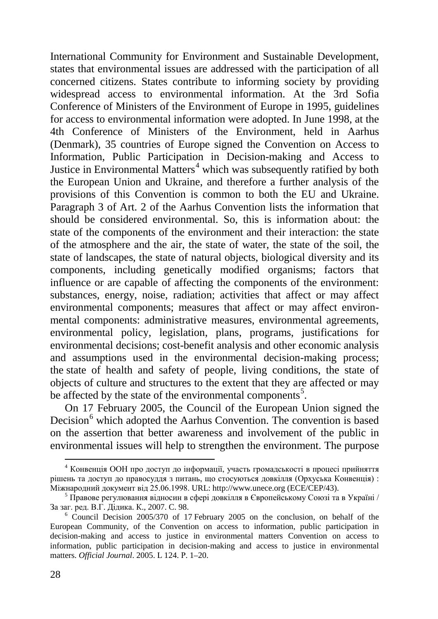International Community for Environment and Sustainable Development, states that environmental issues are addressed with the participation of all concerned citizens. States contribute to informing society by providing widespread access to environmental information. At the 3rd Sofia Conference of Ministers of the Environment of Europe in 1995, guidelines for access to environmental information were adopted. In June 1998, at the 4th Conference of Ministers of the Environment, held in Aarhus (Denmark), 35 countries of Europe signed the Convention on Access to Information, Public Participation in Decision-making and Access to Justice in Environmental Matters [4](#page-2-0) which was subsequently ratified by both the European Union and Ukraine, and therefore a further analysis of the provisions of this Convention is common to both the EU and Ukraine. Paragraph 3 of Art. 2 of the Aarhus Convention lists the information that should be considered environmental. So, this is information about: the state of the components of the environment and their interaction: the state of the atmosphere and the air, the state of water, the state of the soil, the state of landscapes, the state of natural objects, biological diversity and its components, including genetically modified organisms; factors that influence or are capable of affecting the components of the environment: substances, energy, noise, radiation; activities that affect or may affect environmental components; measures that affect or may affect environmental components: administrative measures, environmental agreements, environmental policy, legislation, plans, programs, justifications for environmental decisions; cost-benefit analysis and other economic analysis and assumptions used in the environmental decision-making process; the state of health and safety of people, living conditions, the state of objects of culture and structures to the extent that they are affected or may be affected by the state of the environmental components<sup>[5](#page-2-1)</sup>.

On 17 February 2005, the Council of the European Union signed the Decision<sup>[6](#page-2-2)</sup> which adopted the Aarhus Convention. The convention is based on the assertion that better awareness and involvement of the public in environmental issues will help to strengthen the environment. The purpose

<span id="page-2-0"></span> <sup>4</sup> Конвенція ООН про доступ до інформації, участь громадськості в процесі прийняття рішень та доступ до правосуддя з питань, що стосуються довкілля (Орхуська Конвенція) : Міжнародний документ від 25.06.1998. URL: http://www.unece.org (ECE/CEP/43).

<span id="page-2-1"></span><sup>5</sup> Правове регулювання відносин в сфері довкілля в Європейському Союзі та в Україні / За заг. ред. В.Г. Дідика. К., 2007. C. 98.

<span id="page-2-2"></span><sup>6</sup> Council Decision 2005/370 of 17 February 2005 on the conclusion, on behalf of the European Community, of the Convention on access to information, public participation in decision-making and access to justice in environmental matters Convention on access to information, public participation in decision‐making and access to justice in environmental matters. *Official Journal*. 2005. L 124. Р. 1–20.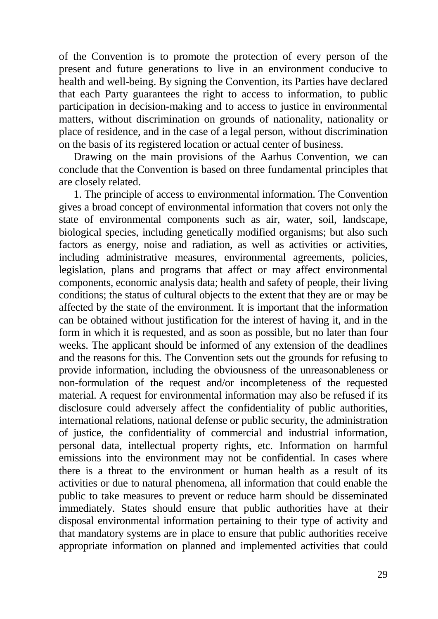of the Convention is to promote the protection of every person of the present and future generations to live in an environment conducive to health and well-being. By signing the Convention, its Parties have declared that each Party guarantees the right to access to information, to public participation in decision-making and to access to justice in environmental matters, without discrimination on grounds of nationality, nationality or place of residence, and in the case of a legal person, without discrimination on the basis of its registered location or actual center of business.

Drawing on the main provisions of the Aarhus Convention, we can conclude that the Convention is based on three fundamental principles that are closely related.

1. The principle of access to environmental information. The Convention gives a broad concept of environmental information that covers not only the state of environmental components such as air, water, soil, landscape, biological species, including genetically modified organisms; but also such factors as energy, noise and radiation, as well as activities or activities, including administrative measures, environmental agreements, policies, legislation, plans and programs that affect or may affect environmental components, economic analysis data; health and safety of people, their living conditions; the status of cultural objects to the extent that they are or may be affected by the state of the environment. It is important that the information can be obtained without justification for the interest of having it, and in the form in which it is requested, and as soon as possible, but no later than four weeks. The applicant should be informed of any extension of the deadlines and the reasons for this. The Convention sets out the grounds for refusing to provide information, including the obviousness of the unreasonableness or non-formulation of the request and/or incompleteness of the requested material. A request for environmental information may also be refused if its disclosure could adversely affect the confidentiality of public authorities, international relations, national defense or public security, the administration of justice, the confidentiality of commercial and industrial information, personal data, intellectual property rights, etc. Information on harmful emissions into the environment may not be confidential. In cases where there is a threat to the environment or human health as a result of its activities or due to natural phenomena, all information that could enable the public to take measures to prevent or reduce harm should be disseminated immediately. States should ensure that public authorities have at their disposal environmental information pertaining to their type of activity and that mandatory systems are in place to ensure that public authorities receive appropriate information on planned and implemented activities that could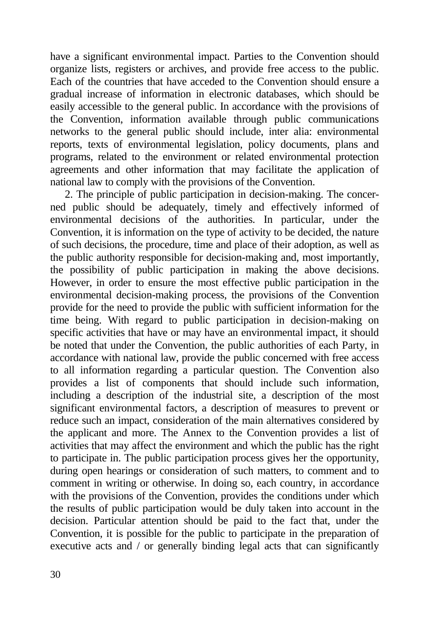have a significant environmental impact. Parties to the Convention should organize lists, registers or archives, and provide free access to the public. Each of the countries that have acceded to the Convention should ensure a gradual increase of information in electronic databases, which should be easily accessible to the general public. In accordance with the provisions of the Convention, information available through public communications networks to the general public should include, inter alia: environmental reports, texts of environmental legislation, policy documents, plans and programs, related to the environment or related environmental protection agreements and other information that may facilitate the application of national law to comply with the provisions of the Convention.

2. The principle of public participation in decision-making. The concerned public should be adequately, timely and effectively informed of environmental decisions of the authorities. In particular, under the Convention, it is information on the type of activity to be decided, the nature of such decisions, the procedure, time and place of their adoption, as well as the public authority responsible for decision-making and, most importantly, the possibility of public participation in making the above decisions. However, in order to ensure the most effective public participation in the environmental decision-making process, the provisions of the Convention provide for the need to provide the public with sufficient information for the time being. With regard to public participation in decision-making on specific activities that have or may have an environmental impact, it should be noted that under the Convention, the public authorities of each Party, in accordance with national law, provide the public concerned with free access to all information regarding a particular question. The Convention also provides a list of components that should include such information, including a description of the industrial site, a description of the most significant environmental factors, a description of measures to prevent or reduce such an impact, consideration of the main alternatives considered by the applicant and more. The Annex to the Convention provides a list of activities that may affect the environment and which the public has the right to participate in. The public participation process gives her the opportunity, during open hearings or consideration of such matters, to comment and to comment in writing or otherwise. In doing so, each country, in accordance with the provisions of the Convention, provides the conditions under which the results of public participation would be duly taken into account in the decision. Particular attention should be paid to the fact that, under the Convention, it is possible for the public to participate in the preparation of executive acts and / or generally binding legal acts that can significantly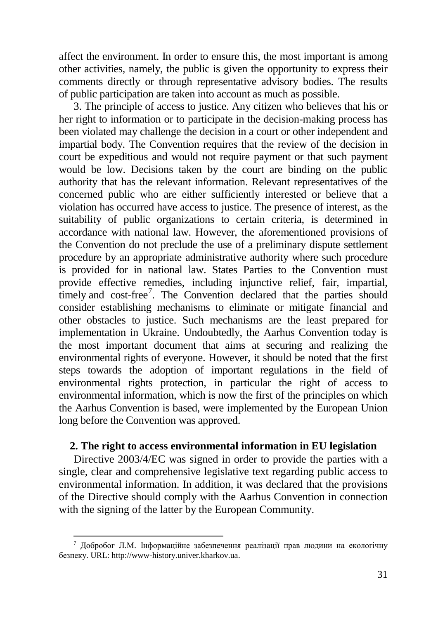affect the environment. In order to ensure this, the most important is among other activities, namely, the public is given the opportunity to express their comments directly or through representative advisory bodies. The results of public participation are taken into account as much as possible.

3. The principle of access to justice. Any citizen who believes that his or her right to information or to participate in the decision-making process has been violated may challenge the decision in a court or other independent and impartial body. The Convention requires that the review of the decision in court be expeditious and would not require payment or that such payment would be low. Decisions taken by the court are binding on the public authority that has the relevant information. Relevant representatives of the concerned public who are either sufficiently interested or believe that a violation has occurred have access to justice. The presence of interest, as the suitability of public organizations to certain criteria, is determined in accordance with national law. However, the aforementioned provisions of the Convention do not preclude the use of a preliminary dispute settlement procedure by an appropriate administrative authority where such procedure is provided for in national law. States Parties to the Convention must provide effective remedies, including injunctive relief, fair, impartial, timely and cost-free<sup>[7](#page-5-0)</sup>. The Convention declared that the parties should consider establishing mechanisms to eliminate or mitigate financial and other obstacles to justice. Such mechanisms are the least prepared for implementation in Ukraine. Undoubtedly, the Aarhus Convention today is the most important document that aims at securing and realizing the environmental rights of everyone. However, it should be noted that the first steps towards the adoption of important regulations in the field of environmental rights protection, in particular the right of access to environmental information, which is now the first of the principles on which the Aarhus Convention is based, were implemented by the European Union long before the Convention was approved.

#### **2. The right to access environmental information in EU legislation**

Directive 2003/4/EC was signed in order to provide the parties with a single, clear and comprehensive legislative text regarding public access to environmental information. In addition, it was declared that the provisions of the Directive should comply with the Aarhus Convention in connection with the signing of the latter by the European Community.

<span id="page-5-0"></span> $7$  Добробог Л.М. Інформаційне забезпечення реалізації прав людини на екологічну безпеку. URL: http://www-history.univer.kharkov.ua.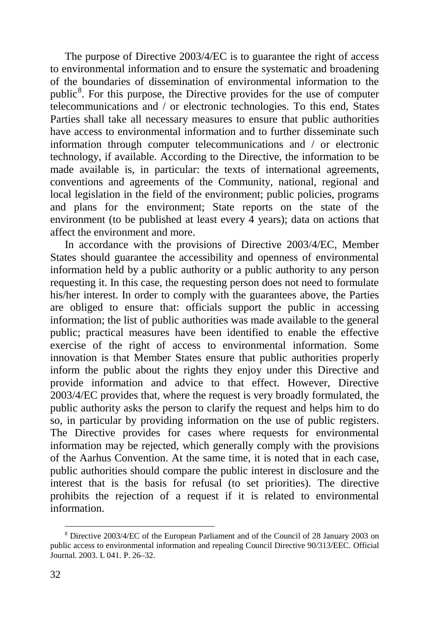The purpose of Directive 2003/4/EC is to guarantee the right of access to environmental information and to ensure the systematic and broadening of the boundaries of dissemination of environmental information to the public<sup>[8](#page-6-0)</sup>. For this purpose, the Directive provides for the use of computer telecommunications and / or electronic technologies. To this end, States Parties shall take all necessary measures to ensure that public authorities have access to environmental information and to further disseminate such information through computer telecommunications and / or electronic technology, if available. According to the Directive, the information to be made available is, in particular: the texts of international agreements, conventions and agreements of the Community, national, regional and local legislation in the field of the environment; public policies, programs and plans for the environment; State reports on the state of the environment (to be published at least every 4 years); data on actions that affect the environment and more.

In accordance with the provisions of Directive 2003/4/EC, Member States should guarantee the accessibility and openness of environmental information held by a public authority or a public authority to any person requesting it. In this case, the requesting person does not need to formulate his/her interest. In order to comply with the guarantees above, the Parties are obliged to ensure that: officials support the public in accessing information; the list of public authorities was made available to the general public; practical measures have been identified to enable the effective exercise of the right of access to environmental information. Some innovation is that Member States ensure that public authorities properly inform the public about the rights they enjoy under this Directive and provide information and advice to that effect. However, Directive 2003/4/EC provides that, where the request is very broadly formulated, the public authority asks the person to clarify the request and helps him to do so, in particular by providing information on the use of public registers. The Directive provides for cases where requests for environmental information may be rejected, which generally comply with the provisions of the Aarhus Convention. At the same time, it is noted that in each case, public authorities should compare the public interest in disclosure and the interest that is the basis for refusal (to set priorities). The directive prohibits the rejection of a request if it is related to environmental information.

<span id="page-6-0"></span> <sup>8</sup> Directive 2003/4/EC of the European Parliament and of the Council of <sup>28</sup> January <sup>2003</sup> on public access to environmental information and repealing Council Directive 90/313/EEC. Official Journal. 2003. L 041. P. 26–32.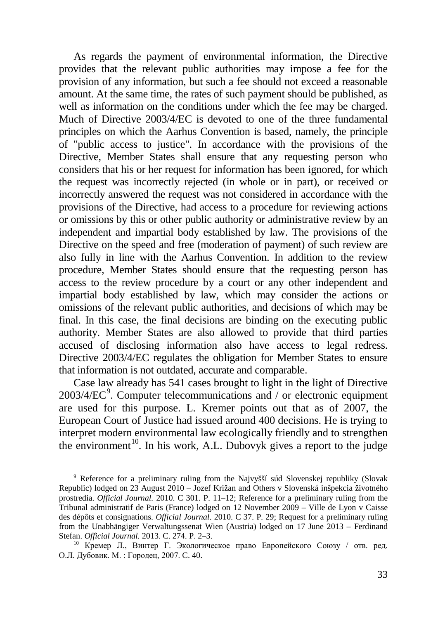As regards the payment of environmental information, the Directive provides that the relevant public authorities may impose a fee for the provision of any information, but such a fee should not exceed a reasonable amount. At the same time, the rates of such payment should be published, as well as information on the conditions under which the fee may be charged. Much of Directive 2003/4/EC is devoted to one of the three fundamental principles on which the Aarhus Convention is based, namely, the principle of "public access to justice". In accordance with the provisions of the Directive, Member States shall ensure that any requesting person who considers that his or her request for information has been ignored, for which the request was incorrectly rejected (in whole or in part), or received or incorrectly answered the request was not considered in accordance with the provisions of the Directive, had access to a procedure for reviewing actions or omissions by this or other public authority or administrative review by an independent and impartial body established by law. The provisions of the Directive on the speed and free (moderation of payment) of such review are also fully in line with the Aarhus Convention. In addition to the review procedure, Member States should ensure that the requesting person has access to the review procedure by a court or any other independent and impartial body established by law, which may consider the actions or omissions of the relevant public authorities, and decisions of which may be final. In this case, the final decisions are binding on the executing public authority. Member States are also allowed to provide that third parties accused of disclosing information also have access to legal redress. Directive 2003/4/EC regulates the obligation for Member States to ensure that information is not outdated, accurate and comparable.

Case law already has 541 cases brought to light in the light of Directive  $2003/4/EC<sup>9</sup>$  $2003/4/EC<sup>9</sup>$  $2003/4/EC<sup>9</sup>$ . Computer telecommunications and / or electronic equipment are used for this purpose. L. Kremer points out that as of 2007, the European Court of Justice had issued around 400 decisions. He is trying to interpret modern environmental law ecologically friendly and to strengthen the environment<sup>[10](#page-7-1)</sup>. In his work, A.L. Dubovyk gives a report to the judge

<span id="page-7-0"></span> <sup>9</sup> Reference for <sup>a</sup> preliminary ruling from the Najvyšší súd Slovenskej republiky (Slovak Republic) lodged on 23 August 2010 – Jozef Križan and Others v Slovenská inšpekcia životného prostredia. *Official Journal.* 2010. C 301. P. 11–12; Reference for a preliminary ruling from the Tribunal administratif de Paris (France) lodged on 12 November 2009 – Ville de Lyon v Caisse des dépôts et consignations. *Official Journal*. 2010. C 37. P. 29; Request for a preliminary ruling from the Unabhängiger Verwaltungssenat Wien (Austria) lodged on 17 June 2013 – Ferdinand Stefan. *Official Journal*. 2013. C. 274. P. 2–3.

<span id="page-7-1"></span><sup>&</sup>lt;u>ла судени семили всестеления</u><br><sup>10</sup> Кремер Л., Винтер Г. Экологическое право Европейского Союзу / отв. ред. О.Л. Дубовик. М. : Городец, 2007. C. 40.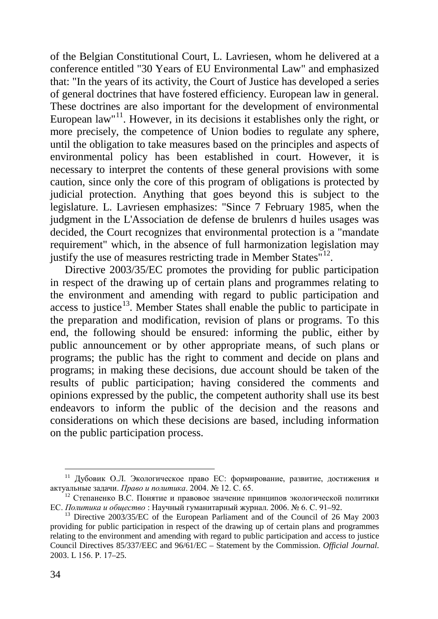of the Belgian Constitutional Court, L. Lavriesen, whom he delivered at a conference entitled "30 Years of EU Environmental Law" and emphasized that: "In the years of its activity, the Court of Justice has developed a series of general doctrines that have fostered efficiency. European law in general. These doctrines are also important for the development of environmental European law"<sup>[11](#page-8-0)</sup>. However, in its decisions it establishes only the right, or more precisely, the competence of Union bodies to regulate any sphere, until the obligation to take measures based on the principles and aspects of environmental policy has been established in court. However, it is necessary to interpret the contents of these general provisions with some caution, since only the core of this program of obligations is protected by judicial protection. Anything that goes beyond this is subject to the legislature. L. Lavriesen emphasizes: "Since 7 February 1985, when the judgment in the L'Association de defense de brulenrs d huiles usages was decided, the Court recognizes that environmental protection is a "mandate requirement" which, in the absence of full harmonization legislation may justify the use of measures restricting trade in Member States $^{\frac{1}{12}}$ .

Directive 2003/35/EC promotes the providing for public participation in respect of the drawing up of certain plans and programmes relating to the environment and amending with regard to public participation and  $access$  to justice<sup>13</sup>. Member States shall enable the public to participate in the preparation and modification, revision of plans or programs. To this end, the following should be ensured: informing the public, either by public announcement or by other appropriate means, of such plans or programs; the public has the right to comment and decide on plans and programs; in making these decisions, due account should be taken of the results of public participation; having considered the comments and opinions expressed by the public, the competent authority shall use its best endeavors to inform the public of the decision and the reasons and considerations on which these decisions are based, including information on the public participation process.

<span id="page-8-0"></span> <sup>11</sup> Дубовик О.Л. Экологическое право ЕС: формирование, развитие, достижения и актуальные задачи. *Право и политика*. 2004. № 12. С. 65.

<span id="page-8-1"></span><sup>&</sup>lt;sup>12</sup> Степаненко В.С. Понятие и правовое значение принципов экологической политики ЕС. Политика и обшество: Научный гуманитарный журнал. 2006.  $N_2$  6. С. 91-92.

<span id="page-8-2"></span><sup>&</sup>lt;sup>13</sup> Directive 2003/35/EC of the European Parliament and of the Council of 26 May 2003 providing for public participation in respect of the drawing up of certain plans and programmes relating to the environment and amending with regard to public participation and access to justice Council Directives 85/337/EEC and 96/61/EC – Statement by the Commission. *Official Journal*. 2003. L 156. Р. 17–25.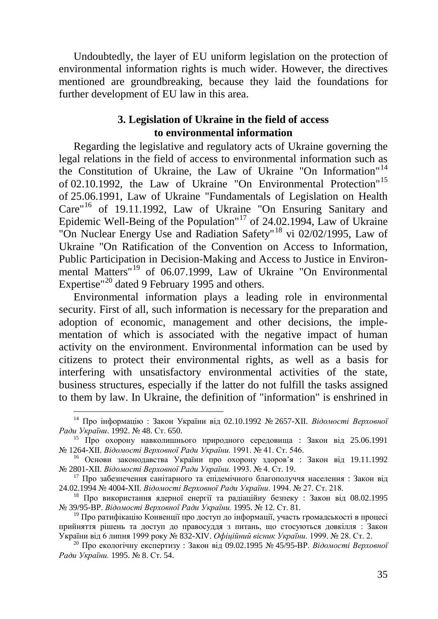Undoubtedly, the layer of EU uniform legislation on the protection of environmental information rights is much wider. However, the directives mentioned are groundbreaking, because they laid the foundations for further development of EU law in this area.

## **3. Legislation of Ukraine in the field of access to environmental information**

Regarding the legislative and regulatory acts of Ukraine governing the legal relations in the field of access to environmental information such as the Constitution of Ukraine, the Law of Ukraine "On Information"[14](#page-9-0) of 02.10.1992, the Law of Ukraine "On Environmental Protection"[15](#page-9-1) of 25.06.1991, Law of Ukraine "Fundamentals of Legislation on Health Care"[16](#page-9-2) of 19.11.1992, Law of Ukraine "On Ensuring Sanitary and Epidemic Well-Being of the Population<sup>"[17](#page-9-3)</sup> of 24.02.1994, Law of Ukraine "On Nuclear Energy Use and Radiation Safety"<sup>[18](#page-9-4)</sup> vi 02/02/1995, Law of Ukraine "On Ratification of the Convention on Access to Information, Public Participation in Decision-Making and Access to Justice in Environmental Matters" [19](#page-9-5) of 06.07.1999, Law of Ukraine "On Environmental Expertise"<sup>[20](#page-9-6)</sup> dated 9 February 1995 and others.

Environmental information plays a leading role in environmental security. First of all, such information is necessary for the preparation and adoption of economic, management and other decisions, the implementation of which is associated with the negative impact of human activity on the environment. Environmental information can be used by citizens to protect their environmental rights, as well as a basis for interfering with unsatisfactory environmental activities of the state, business structures, especially if the latter do not fulfill the tasks assigned to them by law. In Ukraine, the definition of "information" is enshrined in

<span id="page-9-0"></span> <sup>14</sup> Про інформацію : Закон України від 02.10.1992 № 2657-XII. *Відомості Верховної*

<span id="page-9-1"></span><sup>&</sup>lt;sup>15</sup> Про охорону навколишнього природного середовища : Закон від 25.06.1991 № 1264-XII. *Відомості Верховної Ради України*. 1991. № 41. Ст. 546.

<span id="page-9-2"></span><sup>&</sup>lt;sup>16</sup> Основи законодавства України про охорону здоров'я : Закон від 19.11.1992 № 2801-XII. *Відомості Верховної Ради України.* 1993. № 4. Ст. 19.

<span id="page-9-3"></span><sup>17</sup> Про забезпечення санітарного та епідемічного благополуччя населення : Закон від 24.02.1994 № 4004-XII. *Відомості Верховної Ради України*. 1994. № 27. Ст. 218.

<span id="page-9-4"></span><sup>&</sup>lt;sup>18</sup> Про використання ядерної енергії та радіаційну безпеку : Закон від 08.02.1995<br>Ne 39/95-BP. Відомості Верховної Ради України. 1995. Ne 12. Ст. 81.

<span id="page-9-5"></span><sup>&</sup>lt;sup>19</sup> Про ратифікацію Конвенції про доступ до інформації, участь громадськості в процесі прийняття рішень та доступ до правосуддя з питань, що стосуються довкілля : Закон України від 6 липня 1999 року № 832-XIV. Офіційний вісник України. 1999. № 28. Ст. 2.

<span id="page-9-6"></span><sup>&</sup>lt;sup>20</sup> Про екологічну експертизу : Закон від 09.02.1995 № 45/95-ВР. *Відомості Верховної Ради України.* 1995. № 8. Ст. 54.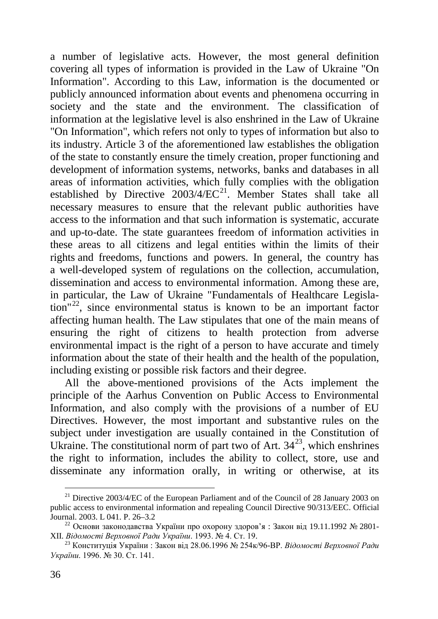a number of legislative acts. However, the most general definition covering all types of information is provided in the Law of Ukraine "On Information". According to this Law, information is the documented or publicly announced information about events and phenomena occurring in society and the state and the environment. The classification of information at the legislative level is also enshrined in the Law of Ukraine "On Information", which refers not only to types of information but also to its industry. Article 3 of the aforementioned law establishes the obligation of the state to constantly ensure the timely creation, proper functioning and development of information systems, networks, banks and databases in all areas of information activities, which fully complies with the obligation established by Directive  $2003/4/EC^{21}$  $2003/4/EC^{21}$  $2003/4/EC^{21}$ . Member States shall take all necessary measures to ensure that the relevant public authorities have access to the information and that such information is systematic, accurate and up-to-date. The state guarantees freedom of information activities in these areas to all citizens and legal entities within the limits of their rights and freedoms, functions and powers. In general, the country has a well-developed system of regulations on the collection, accumulation, dissemination and access to environmental information. Among these are, in particular, the Law of Ukraine "Fundamentals of Healthcare Legisla-tion<sup>"[22](#page-10-1)</sup>, since environmental status is known to be an important factor affecting human health. The Law stipulates that one of the main means of ensuring the right of citizens to health protection from adverse environmental impact is the right of a person to have accurate and timely information about the state of their health and the health of the population, including existing or possible risk factors and their degree.

All the above-mentioned provisions of the Acts implement the principle of the Aarhus Convention on Public Access to Environmental Information, and also comply with the provisions of a number of EU Directives. However, the most important and substantive rules on the subject under investigation are usually contained in the Constitution of Ukraine. The constitutional norm of part two of Art.  $34^{23}$ , which enshrines the right to information, includes the ability to collect, store, use and disseminate any information orally, in writing or otherwise, at its

<span id="page-10-0"></span><sup>&</sup>lt;sup>21</sup> Directive 2003/4/EC of the European Parliament and of the Council of 28 January 2003 on public access to environmental information and repealing Council Directive 90/313/EEC. Official Journal. 2003. L 041. P. 26–3.2

<span id="page-10-1"></span><sup>&</sup>lt;sup>22</sup> Основи законодавства України про охорону здоров'я : Закон від 19.11.1992 № 2801-XII. Відомості Верховної Ради України. 1993. № 4. Ст. 19.

<span id="page-10-2"></span><sup>&</sup>lt;sup>23</sup> Конституція України : Закон віл 28.06.1996 № 254к/96-ВР. *Відомості Верховної Ради України*. 1996. № 30. Ст. 141.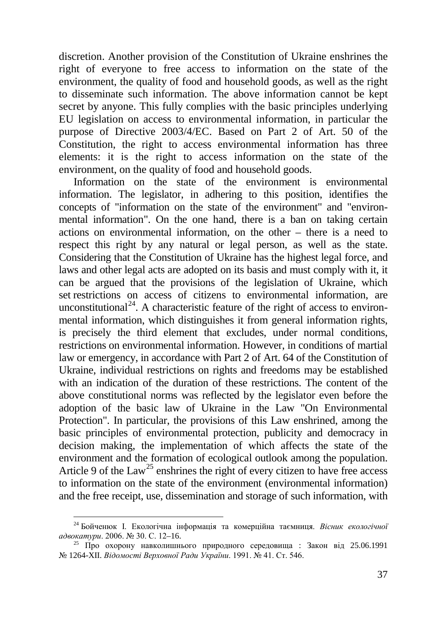discretion. Another provision of the Constitution of Ukraine enshrines the right of everyone to free access to information on the state of the environment, the quality of food and household goods, as well as the right to disseminate such information. The above information cannot be kept secret by anyone. This fully complies with the basic principles underlying EU legislation on access to environmental information, in particular the purpose of Directive 2003/4/EC. Based on Part 2 of Art. 50 of the Constitution, the right to access environmental information has three elements: it is the right to access information on the state of the environment, on the quality of food and household goods.

Information on the state of the environment is environmental information. The legislator, in adhering to this position, identifies the concepts of "information on the state of the environment" and "environmental information". On the one hand, there is a ban on taking certain actions on environmental information, on the other – there is a need to respect this right by any natural or legal person, as well as the state. Considering that the Constitution of Ukraine has the highest legal force, and laws and other legal acts are adopted on its basis and must comply with it, it can be argued that the provisions of the legislation of Ukraine, which set restrictions on access of citizens to environmental information, are unconstitutional<sup>[24](#page-11-0)</sup>. A characteristic feature of the right of access to environmental information, which distinguishes it from general information rights, is precisely the third element that excludes, under normal conditions, restrictions on environmental information. However, in conditions of martial law or emergency, in accordance with Part 2 of Art. 64 of the Constitution of Ukraine, individual restrictions on rights and freedoms may be established with an indication of the duration of these restrictions. The content of the above constitutional norms was reflected by the legislator even before the adoption of the basic law of Ukraine in the Law "On Environmental Protection". In particular, the provisions of this Law enshrined, among the basic principles of environmental protection, publicity and democracy in decision making, the implementation of which affects the state of the environment and the formation of ecological outlook among the population. Article 9 of the  $Law^{25}$  $Law^{25}$  $Law^{25}$  enshrines the right of every citizen to have free access to information on the state of the environment (environmental information) and the free receipt, use, dissemination and storage of such information, with

<span id="page-11-0"></span> <sup>24</sup> Бойченюк І. Екологічна інформація та комерційна таємниця. *Вісник екологічної* 

<span id="page-11-1"></span><sup>&</sup>lt;sup>25</sup> Про охорону навколишнього природного середовища : Закон від 25.06.1991 № 1264-XII. *Відомості Верховної Ради України*. 1991. № 41. Ст. 546.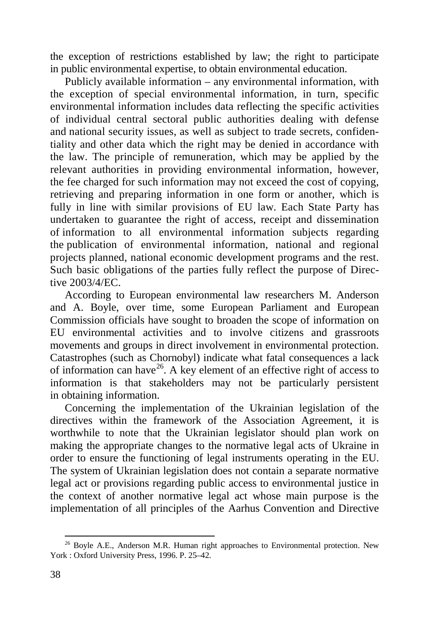the exception of restrictions established by law; the right to participate in public environmental expertise, to obtain environmental education.

Publicly available information – any environmental information, with the exception of special environmental information, in turn, specific environmental information includes data reflecting the specific activities of individual central sectoral public authorities dealing with defense and national security issues, as well as subject to trade secrets, confidentiality and other data which the right may be denied in accordance with the law. The principle of remuneration, which may be applied by the relevant authorities in providing environmental information, however, the fee charged for such information may not exceed the cost of copying, retrieving and preparing information in one form or another, which is fully in line with similar provisions of EU law. Each State Party has undertaken to guarantee the right of access, receipt and dissemination of information to all environmental information subjects regarding the publication of environmental information, national and regional projects planned, national economic development programs and the rest. Such basic obligations of the parties fully reflect the purpose of Directive 2003/4/EC.

According to European environmental law researchers M. Anderson and A. Boyle, over time, some European Parliament and European Commission officials have sought to broaden the scope of information on EU environmental activities and to involve citizens and grassroots movements and groups in direct involvement in environmental protection. Catastrophes (such as Chornobyl) indicate what fatal consequences a lack of information can have  $2^6$ . A key element of an effective right of access to information is that stakeholders may not be particularly persistent in obtaining information.

Concerning the implementation of the Ukrainian legislation of the directives within the framework of the Association Agreement, it is worthwhile to note that the Ukrainian legislator should plan work on making the appropriate changes to the normative legal acts of Ukraine in order to ensure the functioning of legal instruments operating in the EU. The system of Ukrainian legislation does not contain a separate normative legal act or provisions regarding public access to environmental justice in the context of another normative legal act whose main purpose is the implementation of all principles of the Aarhus Convention and Directive

<span id="page-12-0"></span><sup>&</sup>lt;sup>26</sup> Boyle A.E., Anderson M.R. Human right approaches to Environmental protection. New York : Oxford University Press, 1996. P. 25–42.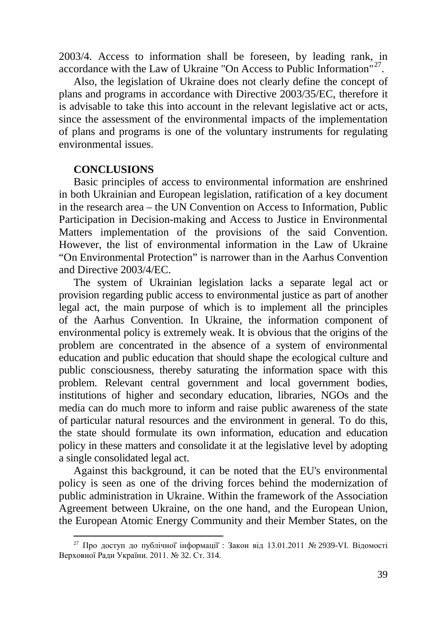2003/4. Access to information shall be foreseen, by leading rank, in accordance with the Law of Ukraine "On Access to Public Information"[27.](#page-13-0)

Also, the legislation of Ukraine does not clearly define the concept of plans and programs in accordance with Directive 2003/35/EC, therefore it is advisable to take this into account in the relevant legislative act or acts, since the assessment of the environmental impacts of the implementation of plans and programs is one of the voluntary instruments for regulating environmental issues.

#### **CONCLUSIONS**

Basic principles of access to environmental information are enshrined in both Ukrainian and European legislation, ratification of a key document in the research area – the UN Convention on Access to Information, Public Participation in Decision-making and Access to Justice in Environmental Matters implementation of the provisions of the said Convention. However, the list of environmental information in the Law of Ukraine "On Environmental Protection" is narrower than in the Aarhus Convention and Directive 2003/4/EC.

The system of Ukrainian legislation lacks a separate legal act or provision regarding public access to environmental justice as part of another legal act, the main purpose of which is to implement all the principles of the Aarhus Convention. In Ukraine, the information component of environmental policy is extremely weak. It is obvious that the origins of the problem are concentrated in the absence of a system of environmental education and public education that should shape the ecological culture and public consciousness, thereby saturating the information space with this problem. Relevant central government and local government bodies, institutions of higher and secondary education, libraries, NGOs and the media can do much more to inform and raise public awareness of the state of particular natural resources and the environment in general. To do this, the state should formulate its own information, education and education policy in these matters and consolidate it at the legislative level by adopting a single consolidated legal act.

Against this background, it can be noted that the EU's environmental policy is seen as one of the driving forces behind the modernization of public administration in Ukraine. Within the framework of the Association Agreement between Ukraine, on the one hand, and the European Union, the European Atomic Energy Community and their Member States, on the

<span id="page-13-0"></span><sup>&</sup>lt;sup>27</sup> Про доступ до публічної інформації: Закон від 13.01.2011 № 2939-VI. Відомості Верховної Ради України. 2011. № 32. Ст. 314.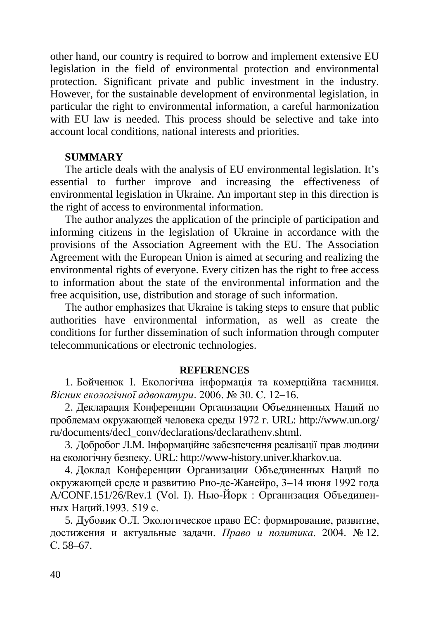other hand, our country is required to borrow and implement extensive EU legislation in the field of environmental protection and environmental protection. Significant private and public investment in the industry. However, for the sustainable development of environmental legislation, in particular the right to environmental information, a careful harmonization with EU law is needed. This process should be selective and take into account local conditions, national interests and priorities.

### **SUMMARY**

The article deals with the analysis of EU environmental legislation. It's essential to further improve and increasing the effectiveness of environmental legislation in Ukraine. An important step in this direction is the right of access to environmental information.

The author analyzes the application of the principle of participation and informing citizens in the legislation of Ukraine in accordance with the provisions of the Association Agreement with the EU. The Association Agreement with the European Union is aimed at securing and realizing the environmental rights of everyone. Every citizen has the right to free access to information about the state of the environmental information and the free acquisition, use, distribution and storage of such information.

The author emphasizes that Ukraine is taking steps to ensure that public authorities have environmental information, as well as create the conditions for further dissemination of such information through computer telecommunications or electronic technologies.

#### **REFERENCES**

1. Бойченюк І. Екологічна інформація та комерційна таємниця. *Вісник екологічної адвокатури*. 2006. № 30. С. 12–16.

2. Декларация Конференции Организации Объединенных Наций по проблемам окружающей человека среды 1972 г. URL: http://www.un.org/ ru/documents/decl\_conv/declarations/declarathenv.shtml.

3. Добробог Л.М. Інформаційне забезпечення реалізації прав людини на екологічну безпеку. URL: http://www-history.univer.kharkov.ua.

4. Доклад Конференции Организации Объединенных Наций по окружающей среде и развитию Рио-де-Жанейро, 3–14 июня 1992 года A/CONF.151/26/Rev.1 (Vol. I). Нью-Йорк : Организация Объединенных Наций.1993. 519 с.

5. Дубовик О.Л. Экологическое право ЕС: формирование, развитие, достижения и актуальные задачи. *Право и политика*. 2004. № 12. С. 58–67.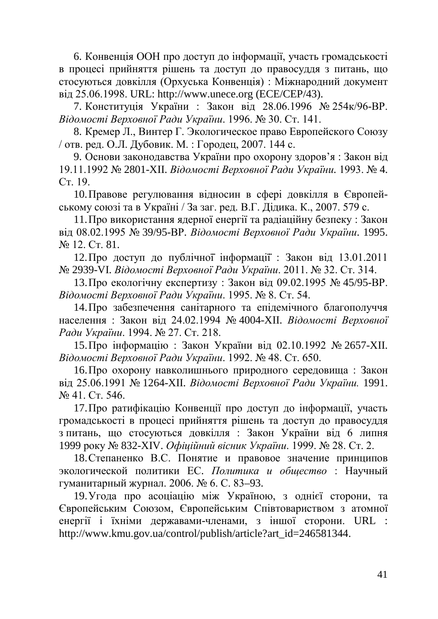6. Конвенція ООН про доступ до інформації, участь громадськості в процесі прийняття рішень та доступ до правосуддя з питань, що стосуються довкілля (Орхуська Конвенція) : Міжнародний документ від 25.06.1998. URL: http://www.unece.org (ECE/CEP/43).

7. Конституція України : Закон від 28.06.1996 № 254к/96-ВР. *Відомості Верховної Ради України*. 1996. № 30. Ст. 141.

8. Кремер Л., Винтер Г. Экологическое право Европейского Союзу / отв. ред. О.Л. Дубовик. М. : Городец, 2007. 144 с.

9. Основи законодавства України про охорону здоров'я : Закон від 19.11.1992 № 2801-XII. *Відомості Верховної Ради України.* 1993. № 4. Ст. 19.

10.Правове регулювання відносин в сфері довкілля в Європейському союзі та в Україні / За заг. ред. В.Г. Дідика. К., 2007. 579 с.

11.Про використання ядерної енергії та радіаційну безпеку : Закон від 08.02.1995 № 39/95-ВР. *Відомості Верховної Ради України*. 1995. № 12. Ст. 81.

12.Про доступ до публічної̈ інформації̈ : Закон від 13.01.2011 № 2939-VI. *Відомості Верховної Ради України*. 2011. № 32. Ст. 314.

13.Про екологічну експертизу : Закон від 09.02.1995 № 45/95-ВР. *Відомості Верховної Ради України*. 1995. № 8. Ст. 54.

14.Про забезпечення санітарного та епідемічного благополуччя населення : Закон від 24.02.1994 № 4004-XII. *Відомості Верховної Ради України*. 1994. № 27. Ст. 218.

15.Про інформацію : Закон України від 02.10.1992 № 2657-XII. *Відомості Верховної Ради України*. 1992. № 48. Ст. 650.

16.Про охорону навколишнього природного середовища : Закон від 25.06.1991 № 1264-XII. *Відомості Верховної Ради України.* 1991. № 41. Ст. 546.

17.Про ратифікацію Конвенції про доступ до інформації, участь громадськості в процесі прийняття рішень та доступ до правосуддя з питань, що стосуються довкілля : Закон України від 6 липня 1999 року № 832-XIV. *Офіційний вісник України*. 1999. № 28. Ст. 2.

18.Степаненко В.С. Понятие и правовое значение принципов экологической политики ЕС. *Политика и общество* : Научный гуманитарный журнал. 2006. № 6. С. 83–93.

19.Угода про асоціацію між Україною, з однієї сторони, та Європейським Союзом, Європейським Співтовариством з атомної енергії і їхніми державами-членами, з іншої сторони. URL : http://www.kmu.gov.ua/control/publish/article?art\_id=246581344.